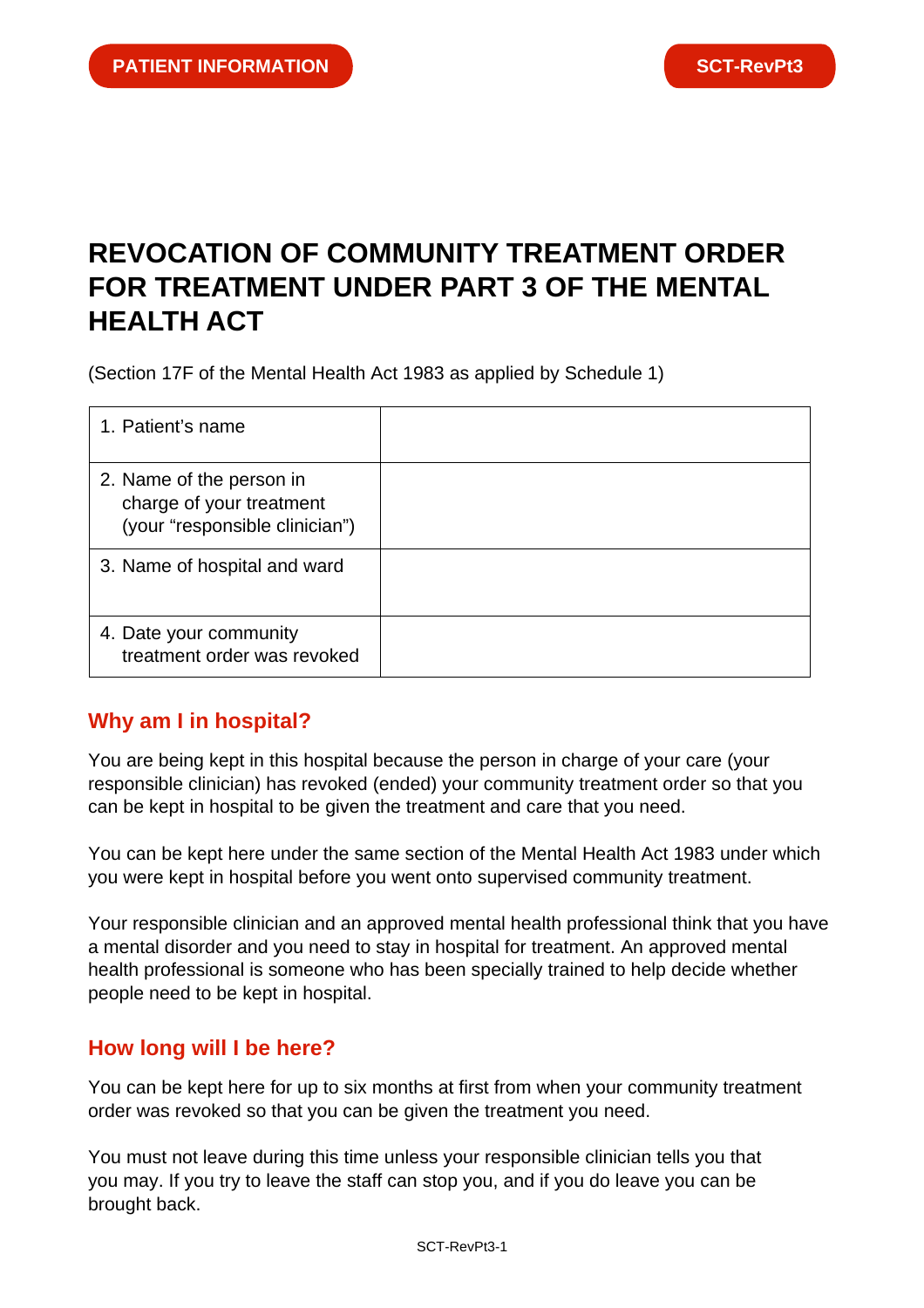# **REVOCATION OF COMMUNITY TREATMENT ORDER FOR TREATMENT UNDER PART 3 OF THE MENTAL HEALTH ACT**

(Section 17F of the Mental Health Act 1983 as applied by Schedule 1)

| 1. Patient's name                                                                      |  |
|----------------------------------------------------------------------------------------|--|
| 2. Name of the person in<br>charge of your treatment<br>(your "responsible clinician") |  |
| 3. Name of hospital and ward                                                           |  |
| 4. Date your community<br>treatment order was revoked                                  |  |

## **Why am I in hospital?**

You are being kept in this hospital because the person in charge of your care (your responsible clinician) has revoked (ended) your community treatment order so that you can be kept in hospital to be given the treatment and care that you need.

You can be kept here under the same section of the Mental Health Act 1983 under which you were kept in hospital before you went onto supervised community treatment.

Your responsible clinician and an approved mental health professional think that you have a mental disorder and you need to stay in hospital for treatment. An approved mental health professional is someone who has been specially trained to help decide whether people need to be kept in hospital.

#### **How long will I be here?**

You can be kept here for up to six months at first from when your community treatment order was revoked so that you can be given the treatment you need.

You must not leave during this time unless your responsible clinician tells you that you may. If you try to leave the staff can stop you, and if you do leave you can be brought back.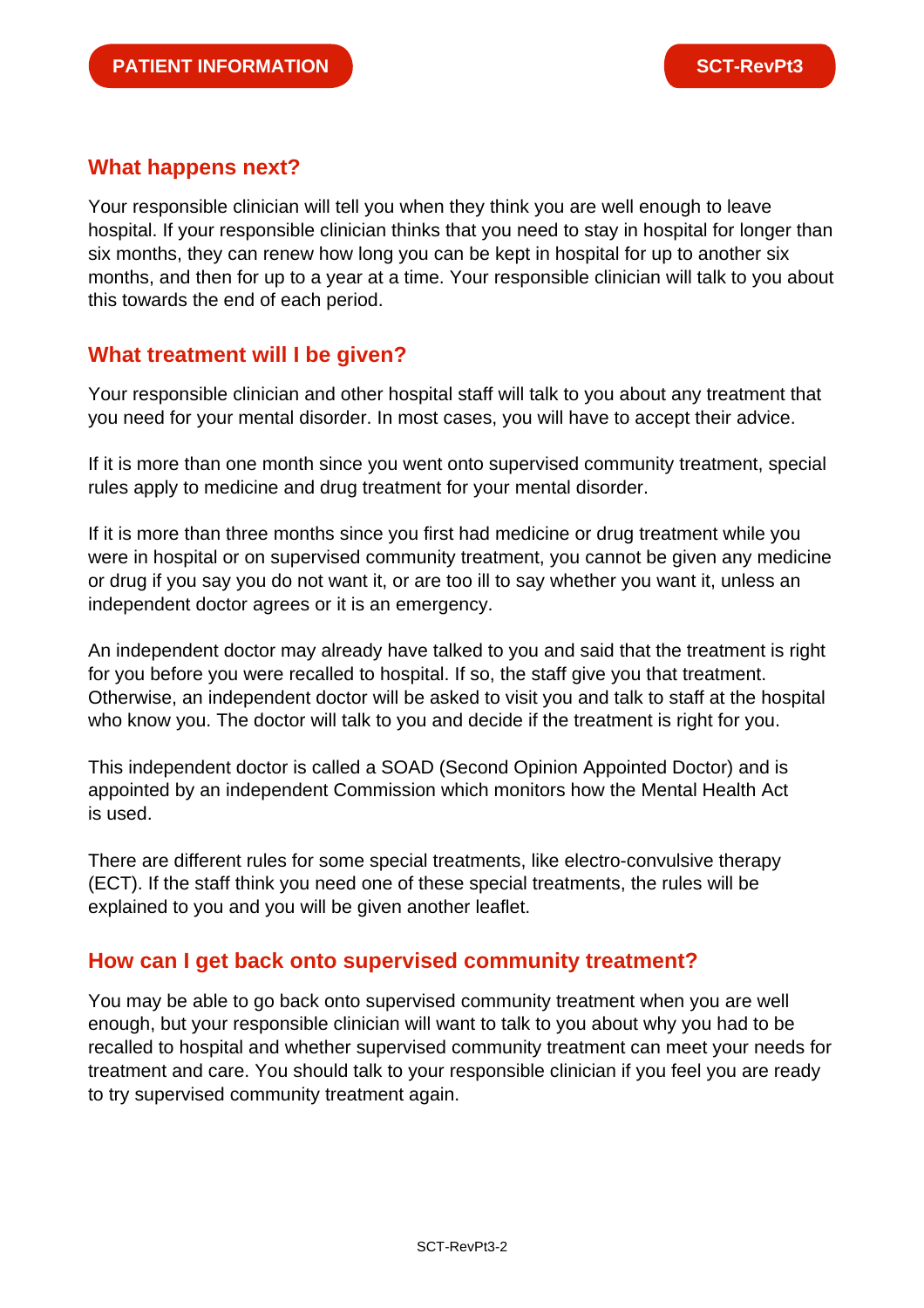#### **What happens next?**

Your responsible clinician will tell you when they think you are well enough to leave hospital. If your responsible clinician thinks that you need to stay in hospital for longer than six months, they can renew how long you can be kept in hospital for up to another six months, and then for up to a year at a time. Your responsible clinician will talk to you about this towards the end of each period.

## **What treatment will I be given?**

Your responsible clinician and other hospital staff will talk to you about any treatment that you need for your mental disorder. In most cases, you will have to accept their advice.

If it is more than one month since you went onto supervised community treatment, special rules apply to medicine and drug treatment for your mental disorder.

If it is more than three months since you first had medicine or drug treatment while you were in hospital or on supervised community treatment, you cannot be given any medicine or drug if you say you do not want it, or are too ill to say whether you want it, unless an independent doctor agrees or it is an emergency.

An independent doctor may already have talked to you and said that the treatment is right for you before you were recalled to hospital. If so, the staff give you that treatment. Otherwise, an independent doctor will be asked to visit you and talk to staff at the hospital who know you. The doctor will talk to you and decide if the treatment is right for you.

This independent doctor is called a SOAD (Second Opinion Appointed Doctor) and is appointed by an independent Commission which monitors how the Mental Health Act is used.

There are different rules for some special treatments, like electro-convulsive therapy (ECT). If the staff think you need one of these special treatments, the rules will be explained to you and you will be given another leaflet.

## **How can I get back onto supervised community treatment?**

You may be able to go back onto supervised community treatment when you are well enough, but your responsible clinician will want to talk to you about why you had to be recalled to hospital and whether supervised community treatment can meet your needs for treatment and care. You should talk to your responsible clinician if you feel you are ready to try supervised community treatment again.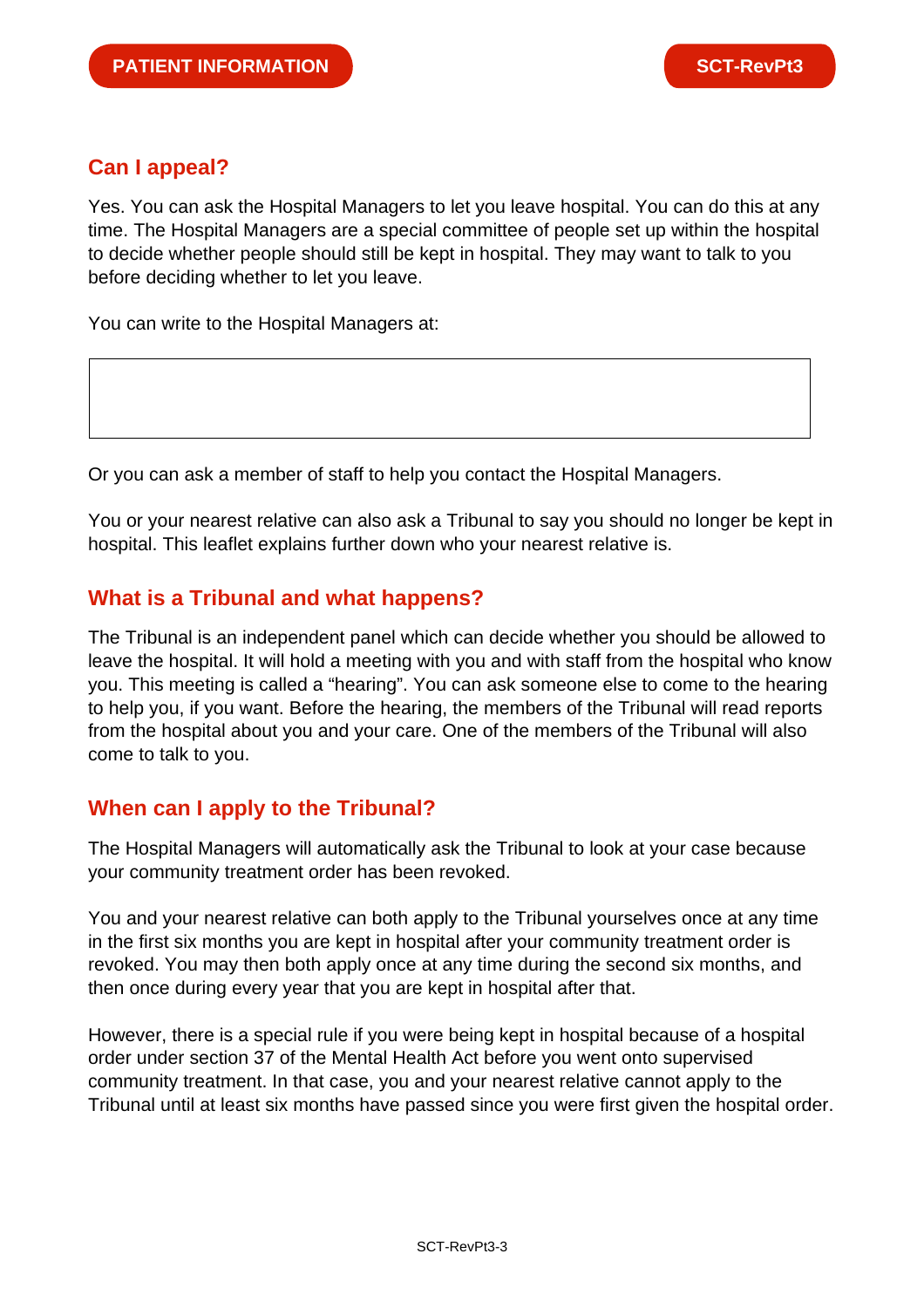## **Can I appeal?**

Yes. You can ask the Hospital Managers to let you leave hospital. You can do this at any time. The Hospital Managers are a special committee of people set up within the hospital to decide whether people should still be kept in hospital. They may want to talk to you before deciding whether to let you leave.

You can write to the Hospital Managers at:

Or you can ask a member of staff to help you contact the Hospital Managers.

You or your nearest relative can also ask a Tribunal to say you should no longer be kept in hospital. This leaflet explains further down who your nearest relative is.

## **What is a Tribunal and what happens?**

The Tribunal is an independent panel which can decide whether you should be allowed to leave the hospital. It will hold a meeting with you and with staff from the hospital who know you. This meeting is called a "hearing". You can ask someone else to come to the hearing to help you, if you want. Before the hearing, the members of the Tribunal will read reports from the hospital about you and your care. One of the members of the Tribunal will also come to talk to you.

## **When can I apply to the Tribunal?**

The Hospital Managers will automatically ask the Tribunal to look at your case because your community treatment order has been revoked.

You and your nearest relative can both apply to the Tribunal yourselves once at any time in the first six months you are kept in hospital after your community treatment order is revoked. You may then both apply once at any time during the second six months, and then once during every year that you are kept in hospital after that.

However, there is a special rule if you were being kept in hospital because of a hospital order under section 37 of the Mental Health Act before you went onto supervised community treatment. In that case, you and your nearest relative cannot apply to the Tribunal until at least six months have passed since you were first given the hospital order.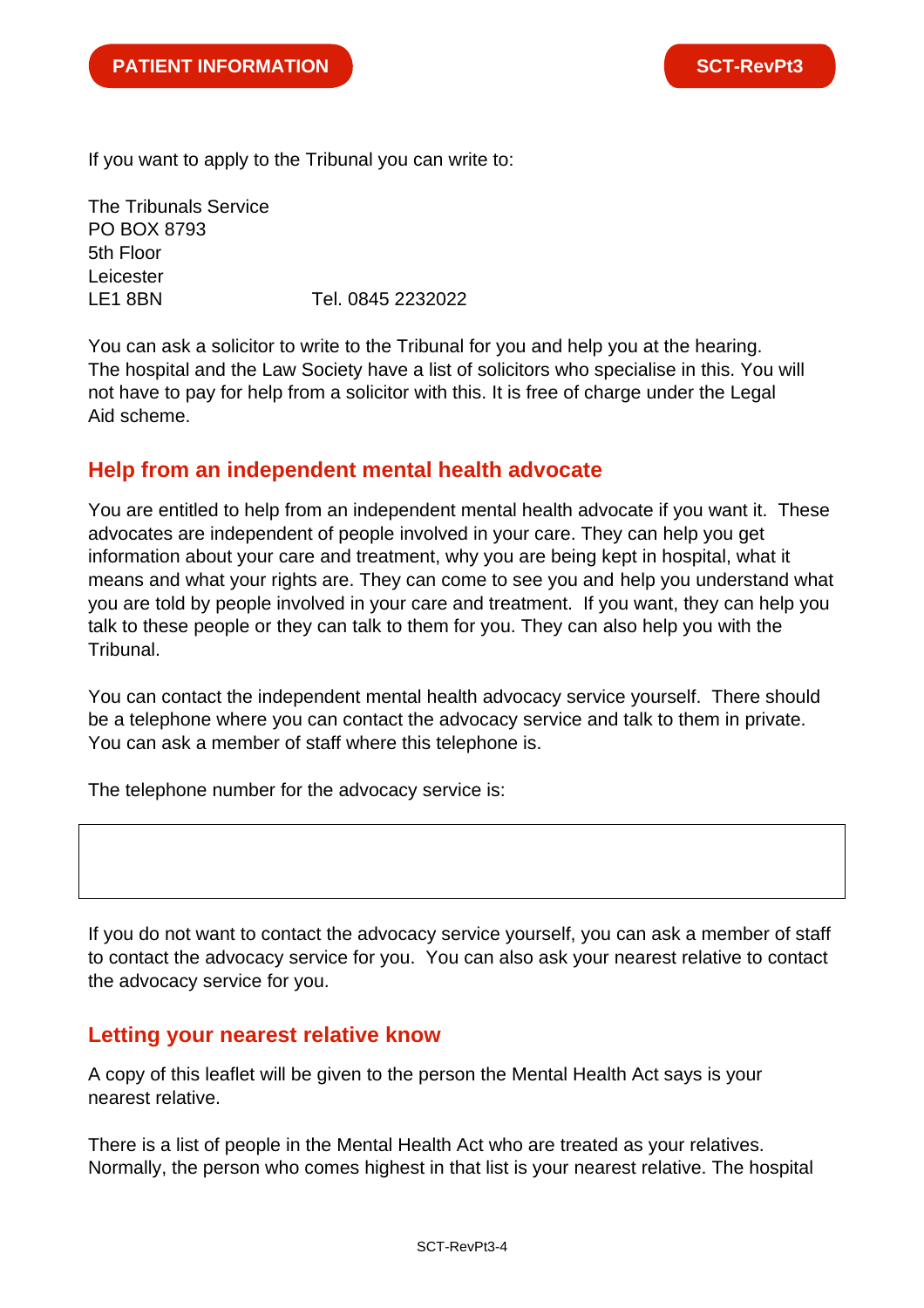If you want to apply to the Tribunal you can write to:

The Tribunals Service PO BOX 8793 5th Floor Leicester LE1 8BN Tel. 0845 2232022

You can ask a solicitor to write to the Tribunal for you and help you at the hearing. The hospital and the Law Society have a list of solicitors who specialise in this. You will not have to pay for help from a solicitor with this. It is free of charge under the Legal Aid scheme.

## **Help from an independent mental health advocate**

You are entitled to help from an independent mental health advocate if you want it. These advocates are independent of people involved in your care. They can help you get information about your care and treatment, why you are being kept in hospital, what it means and what your rights are. They can come to see you and help you understand what you are told by people involved in your care and treatment. If you want, they can help you talk to these people or they can talk to them for you. They can also help you with the Tribunal.

You can contact the independent mental health advocacy service yourself. There should be a telephone where you can contact the advocacy service and talk to them in private. You can ask a member of staff where this telephone is.

The telephone number for the advocacy service is:

If you do not want to contact the advocacy service yourself, you can ask a member of staff to contact the advocacy service for you. You can also ask your nearest relative to contact the advocacy service for you.

#### **Letting your nearest relative know**

A copy of this leaflet will be given to the person the Mental Health Act says is your nearest relative.

There is a list of people in the Mental Health Act who are treated as your relatives. Normally, the person who comes highest in that list is your nearest relative. The hospital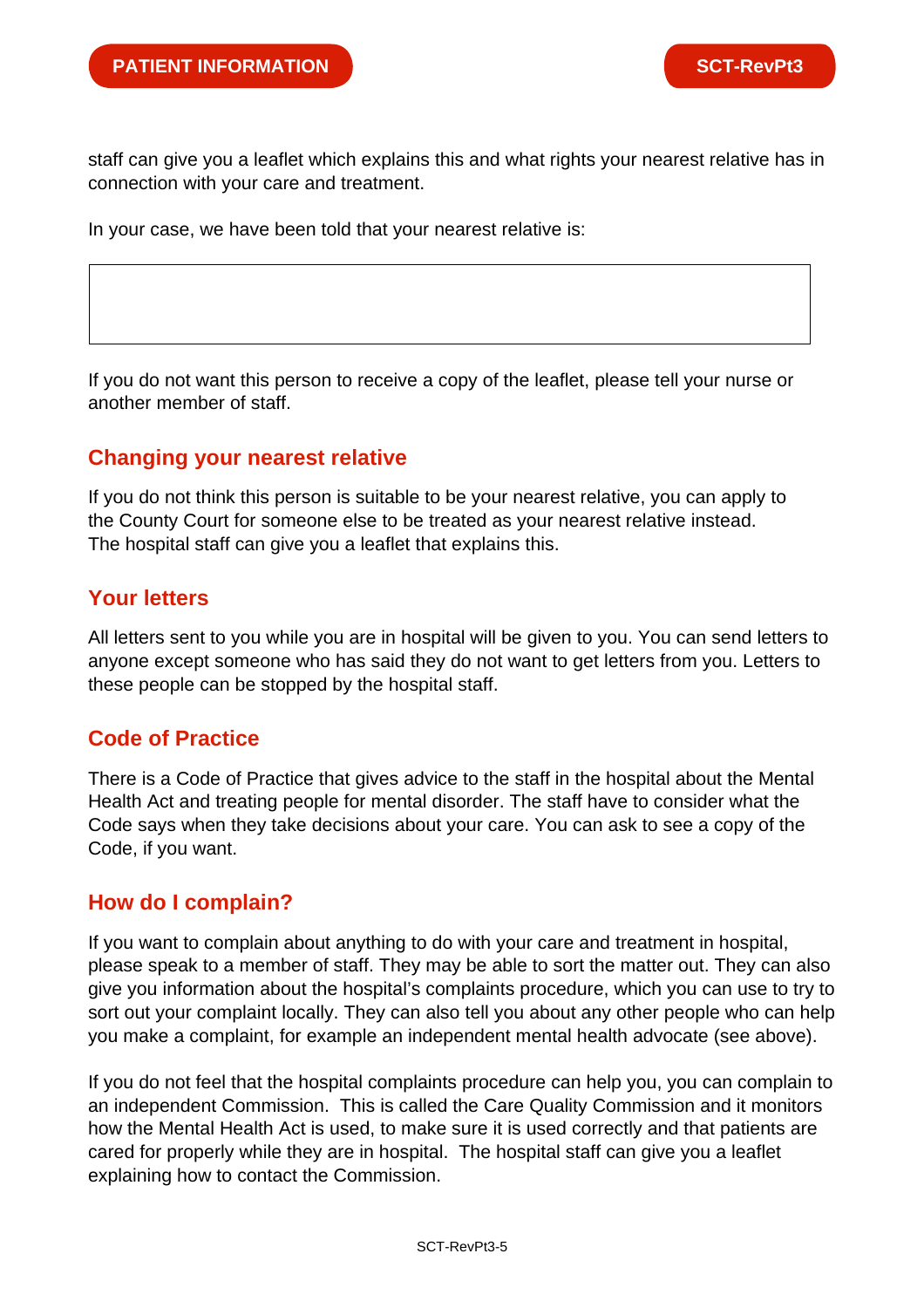staff can give you a leaflet which explains this and what rights your nearest relative has in connection with your care and treatment.

In your case, we have been told that your nearest relative is:

If you do not want this person to receive a copy of the leaflet, please tell your nurse or another member of staff.

#### **Changing your nearest relative**

If you do not think this person is suitable to be your nearest relative, you can apply to the County Court for someone else to be treated as your nearest relative instead. The hospital staff can give you a leaflet that explains this.

# **Your letters**

All letters sent to you while you are in hospital will be given to you. You can send letters to anyone except someone who has said they do not want to get letters from you. Letters to these people can be stopped by the hospital staff.

## **Code of Practice**

There is a Code of Practice that gives advice to the staff in the hospital about the Mental Health Act and treating people for mental disorder. The staff have to consider what the Code says when they take decisions about your care. You can ask to see a copy of the Code, if you want.

#### **How do I complain?**

If you want to complain about anything to do with your care and treatment in hospital, please speak to a member of staff. They may be able to sort the matter out. They can also give you information about the hospital's complaints procedure, which you can use to try to sort out your complaint locally. They can also tell you about any other people who can help you make a complaint, for example an independent mental health advocate (see above).

If you do not feel that the hospital complaints procedure can help you, you can complain to an independent Commission. This is called the Care Quality Commission and it monitors how the Mental Health Act is used, to make sure it is used correctly and that patients are cared for properly while they are in hospital. The hospital staff can give you a leaflet explaining how to contact the Commission.